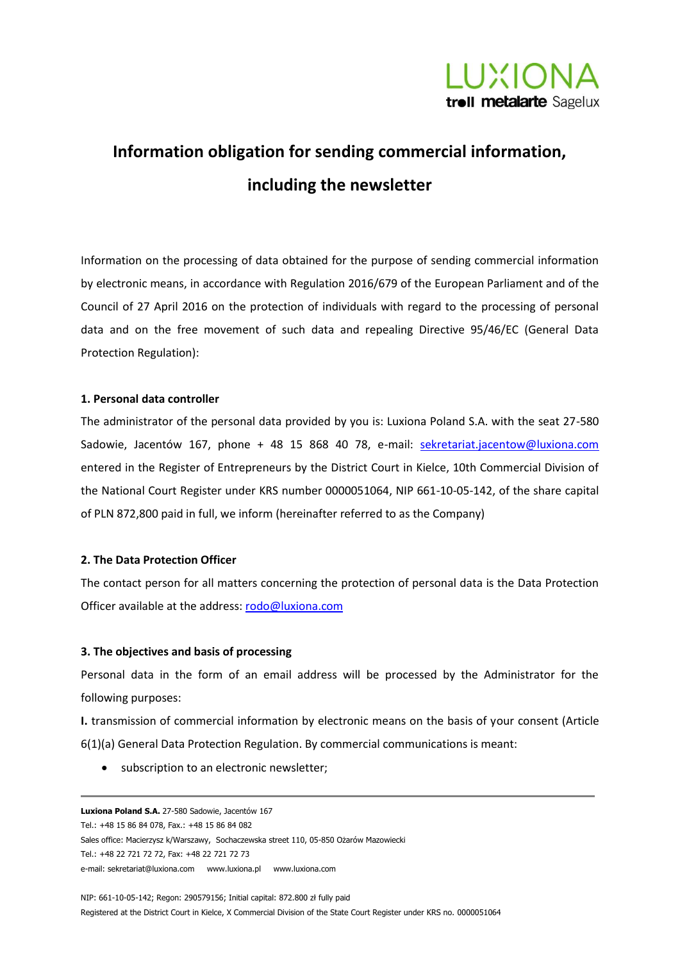

# **Information obligation for sending commercial information, including the newsletter**

Information on the processing of data obtained for the purpose of sending commercial information by electronic means, in accordance with Regulation 2016/679 of the European Parliament and of the Council of 27 April 2016 on the protection of individuals with regard to the processing of personal data and on the free movement of such data and repealing Directive 95/46/EC (General Data Protection Regulation):

# **1. Personal data controller**

The administrator of the personal data provided by you is: Luxiona Poland S.A. with the seat 27-580 Sadowie, Jacentów 167, phone + 48 15 868 40 78, e-mail: sekretariat.jacentow@luxiona.com entered in the Register of Entrepreneurs by the District Court in Kielce, 10th Commercial Division of the National Court Register under KRS number 0000051064, NIP 661-10-05-142, of the share capital of PLN 872,800 paid in full, we inform (hereinafter referred to as the Company)

#### **2. The Data Protection Officer**

The contact person for all matters concerning the protection of personal data is the Data Protection Officer available at the address: [rodo@luxiona.com](mailto:rodo@luxiona.com)

#### **3. The objectives and basis of processing**

Personal data in the form of an email address will be processed by the Administrator for the following purposes:

**I.** transmission of commercial information by electronic means on the basis of your consent (Article 6(1)(a) General Data Protection Regulation. By commercial communications is meant:

• subscription to an electronic newsletter;

**Luxiona Poland S.A.** 27-580 Sadowie, Jacentów 167 Tel.: +48 15 86 84 078, Fax.: +48 15 86 84 082 Sales office: Macierzysz k/Warszawy, Sochaczewska street 110, 05-850 Ożarów Mazowiecki Tel.: +48 22 721 72 72, Fax: +48 22 721 72 73 e-mail[: sekretariat@luxiona.com](mailto:sekretariat@luxiona.com) [www.luxiona.pl](http://www.luxiona.pl/) [www.luxiona.com](http://www.luxiona.com/)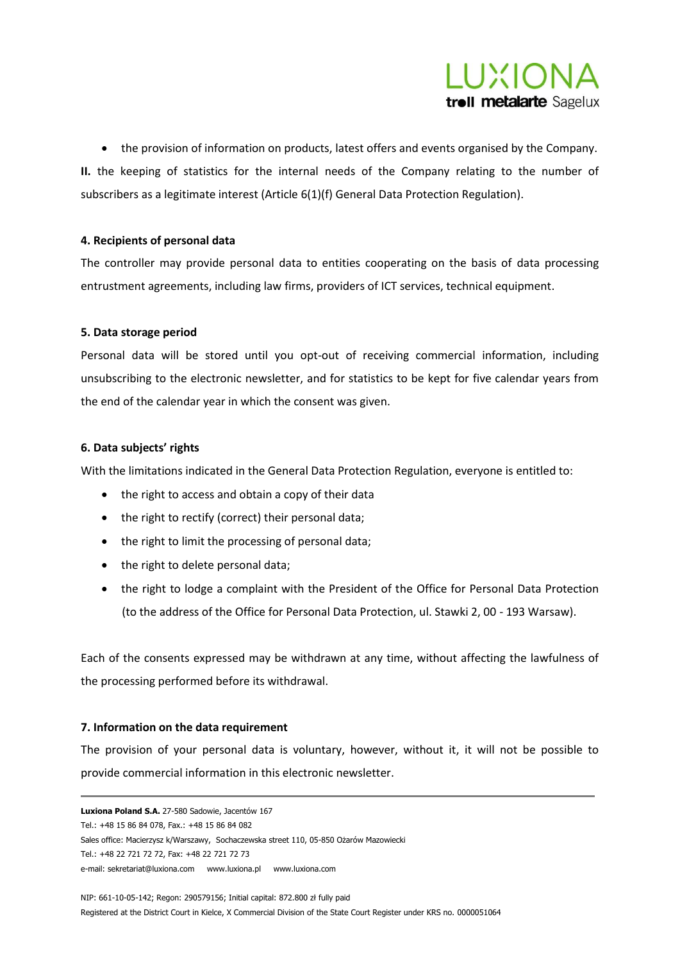

• the provision of information on products, latest offers and events organised by the Company. **II.** the keeping of statistics for the internal needs of the Company relating to the number of subscribers as a legitimate interest (Article 6(1)(f) General Data Protection Regulation).

# **4. Recipients of personal data**

The controller may provide personal data to entities cooperating on the basis of data processing entrustment agreements, including law firms, providers of ICT services, technical equipment.

## **5. Data storage period**

Personal data will be stored until you opt-out of receiving commercial information, including unsubscribing to the electronic newsletter, and for statistics to be kept for five calendar years from the end of the calendar year in which the consent was given.

## **6. Data subjects' rights**

With the limitations indicated in the General Data Protection Regulation, everyone is entitled to:

- the right to access and obtain a copy of their data
- the right to rectify (correct) their personal data;
- the right to limit the processing of personal data;
- the right to delete personal data;
- the right to lodge a complaint with the President of the Office for Personal Data Protection (to the address of the Office for Personal Data Protection, ul. Stawki 2, 00 - 193 Warsaw).

Each of the consents expressed may be withdrawn at any time, without affecting the lawfulness of the processing performed before its withdrawal.

#### **7. Information on the data requirement**

The provision of your personal data is voluntary, however, without it, it will not be possible to provide commercial information in this electronic newsletter.

**Luxiona Poland S.A.** 27-580 Sadowie, Jacentów 167 Tel.: +48 15 86 84 078, Fax.: +48 15 86 84 082 Sales office: Macierzysz k/Warszawy, Sochaczewska street 110, 05-850 Ożarów Mazowiecki Tel.: +48 22 721 72 72, Fax: +48 22 721 72 73 e-mail[: sekretariat@luxiona.com](mailto:sekretariat@luxiona.com) [www.luxiona.pl](http://www.luxiona.pl/) [www.luxiona.com](http://www.luxiona.com/)